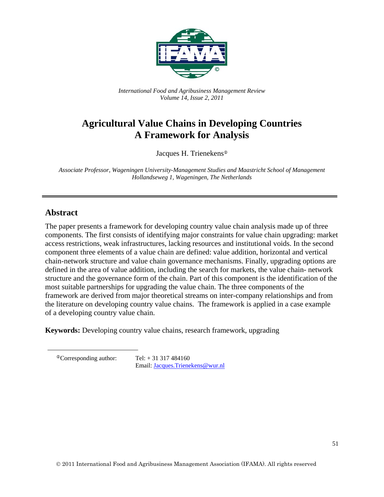

*International Food and Agribusiness Management Review Volume 14, Issue 2, 2011*

# **Agricultural Value Chains in Developing Countries A Framework for Analysis**

Jacques H. Trienekens

*Associate Professor, Wageningen University-Management Studies and Maastricht School of Management Hollandseweg 1, Wageningen, The Netherlands* 

# **Abstract**

The paper presents a framework for developing country value chain analysis made up of three components. The first consists of identifying major constraints for value chain upgrading: market access restrictions, weak infrastructures, lacking resources and institutional voids. In the second component three elements of a value chain are defined: value addition, horizontal and vertical chain-network structure and value chain governance mechanisms. Finally, upgrading options are defined in the area of value addition, including the search for markets, the value chain- network structure and the governance form of the chain. Part of this component is the identification of the most suitable partnerships for upgrading the value chain. The three components of the framework are derived from major theoretical streams on inter-company relationships and from the literature on developing country value chains. The framework is applied in a case example of a developing country value chain.

**Keywords:** Developing country value chains, research framework, upgrading

 $^{\circ}$ Corresponding author: Tel: + 31 317 484160

Email: Jacques.Trienekens@wur.nl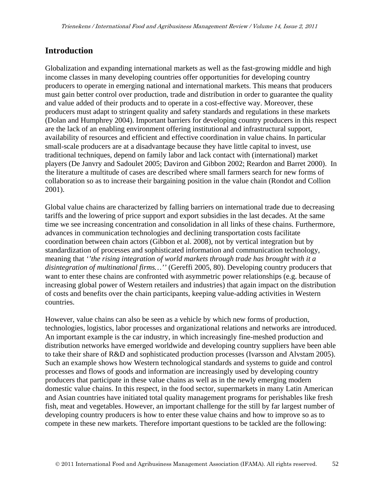# **Introduction**

Globalization and expanding international markets as well as the fast-growing middle and high income classes in many developing countries offer opportunities for developing country producers to operate in emerging national and international markets. This means that producers must gain better control over production, trade and distribution in order to guarantee the quality and value added of their products and to operate in a cost-effective way. Moreover, these producers must adapt to stringent quality and safety standards and regulations in these markets (Dolan and Humphrey 2004). Important barriers for developing country producers in this respect are the lack of an enabling environment offering institutional and infrastructural support, availability of resources and efficient and effective coordination in value chains. In particular small-scale producers are at a disadvantage because they have little capital to invest, use traditional techniques, depend on family labor and lack contact with (international) market players (De Janvry and Sadoulet 2005; Daviron and Gibbon 2002; Reardon and Barret 2000). In the literature a multitude of cases are described where small farmers search for new forms of collaboration so as to increase their bargaining position in the value chain (Rondot and Collion 2001).

Global value chains are characterized by falling barriers on international trade due to decreasing tariffs and the lowering of price support and export subsidies in the last decades. At the same time we see increasing concentration and consolidation in all links of these chains. Furthermore, advances in communication technologies and declining transportation costs facilitate coordination between chain actors (Gibbon et al. 2008), not by vertical integration but by standardization of processes and sophisticated information and communication technology, meaning that *''the rising integration of world markets through trade has brought with it a disintegration of multinational firms…''* (Gereffi 2005, 80). Developing country producers that want to enter these chains are confronted with asymmetric power relationships (e.g. because of increasing global power of Western retailers and industries) that again impact on the distribution of costs and benefits over the chain participants, keeping value-adding activities in Western countries.

However, value chains can also be seen as a vehicle by which new forms of production, technologies, logistics, labor processes and organizational relations and networks are introduced. An important example is the car industry, in which increasingly fine-meshed production and distribution networks have emerged worldwide and developing country suppliers have been able to take their share of R&D and sophisticated production processes (Ivarsson and Alvstam 2005). Such an example shows how Western technological standards and systems to guide and control processes and flows of goods and information are increasingly used by developing country producers that participate in these value chains as well as in the newly emerging modern domestic value chains. In this respect, in the food sector, supermarkets in many Latin American and Asian countries have initiated total quality management programs for perishables like fresh fish, meat and vegetables. However, an important challenge for the still by far largest number of developing country producers is how to enter these value chains and how to improve so as to compete in these new markets. Therefore important questions to be tackled are the following: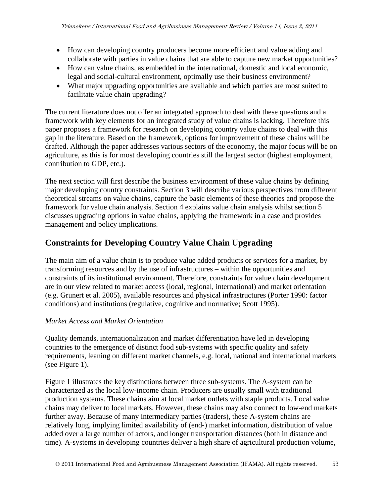- How can developing country producers become more efficient and value adding and collaborate with parties in value chains that are able to capture new market opportunities?
- How can value chains, as embedded in the international, domestic and local economic, legal and social-cultural environment, optimally use their business environment?
- What major upgrading opportunities are available and which parties are most suited to facilitate value chain upgrading?

The current literature does not offer an integrated approach to deal with these questions and a framework with key elements for an integrated study of value chains is lacking. Therefore this paper proposes a framework for research on developing country value chains to deal with this gap in the literature. Based on the framework, options for improvement of these chains will be drafted. Although the paper addresses various sectors of the economy, the major focus will be on agriculture, as this is for most developing countries still the largest sector (highest employment, contribution to GDP, etc.).

The next section will first describe the business environment of these value chains by defining major developing country constraints. Section 3 will describe various perspectives from different theoretical streams on value chains, capture the basic elements of these theories and propose the framework for value chain analysis. Section 4 explains value chain analysis whilst section 5 discusses upgrading options in value chains, applying the framework in a case and provides management and policy implications.

# **Constraints for Developing Country Value Chain Upgrading**

The main aim of a value chain is to produce value added products or services for a market, by transforming resources and by the use of infrastructures – within the opportunities and constraints of its institutional environment. Therefore, constraints for value chain development are in our view related to market access (local, regional, international) and market orientation (e.g. Grunert et al. 2005), available resources and physical infrastructures (Porter 1990: factor conditions) and institutions (regulative, cognitive and normative; Scott 1995).

# *Market Access and Market Orientation*

Quality demands, internationalization and market differentiation have led in developing countries to the emergence of distinct food sub-systems with specific quality and safety requirements, leaning on different market channels, e.g. local, national and international markets (see Figure 1).

Figure 1 illustrates the key distinctions between three sub-systems. The A-system can be characterized as the local low-income chain. Producers are usually small with traditional production systems. These chains aim at local market outlets with staple products. Local value chains may deliver to local markets. However, these chains may also connect to low-end markets further away. Because of many intermediary parties (traders), these A-system chains are relatively long, implying limited availability of (end-) market information, distribution of value added over a large number of actors, and longer transportation distances (both in distance and time). A-systems in developing countries deliver a high share of agricultural production volume,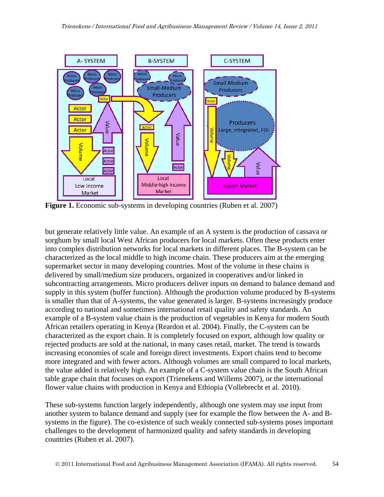

**Figure 1.** Economic sub-systems in developing countries (Ruben et al. 2007)

but generate relatively little value. An example of an A system is the production of cassava or sorghum by small local West African producers for local markets. Often these products enter into complex distribution networks for local markets in different places. The B-system can be characterized as the local middle to high income chain. These producers aim at the emerging supermarket sector in many developing countries. Most of the volume in these chains is delivered by small/medium size producers, organized in cooperatives and/or linked in subcontracting arrangements. Micro producers deliver inputs on demand to balance demand and supply in this system (buffer function). Although the production volume produced by B-systems is smaller than that of A-systems, the value generated is larger. B-systems increasingly produce according to national and sometimes international retail quality and safety standards. An example of a B-system value chain is the production of vegetables in Kenya for modern South African retailers operating in Kenya (Reardon et al. 2004). Finally, the C-system can be characterized as the export chain. It is completely focused on export, although low quality or rejected products are sold at the national, in many cases retail, market. The trend is towards increasing economies of scale and foreign direct investments. Export chains tend to become more integrated and with fewer actors. Although volumes are small compared to local markets, the value added is relatively high. An example of a C-system value chain is the South African table grape chain that focuses on export (Trienekens and Willems 2007), or the international flower value chains with production in Kenya and Ethiopia (Vollebrecht et al. 2010).

These sub-systems function largely independently, although one system may use input from another system to balance demand and supply (see for example the flow between the A- and Bsystems in the figure). The co-existence of such weakly connected sub-systems poses important challenges to the development of harmonized quality and safety standards in developing countries (Ruben et al. 2007).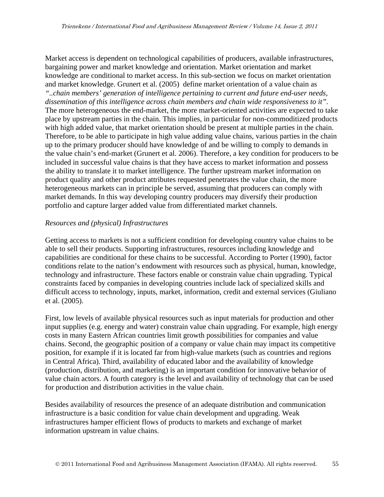Market access is dependent on technological capabilities of producers, available infrastructures, bargaining power and market knowledge and orientation. Market orientation and market knowledge are conditional to market access. In this sub-section we focus on market orientation and market knowledge. Grunert et al. (2005) define market orientation of a value chain as *"..chain members' generation of intelligence pertaining to current and future end-user needs, dissemination of this intelligence across chain members and chain wide responsiveness to it".* The more heterogeneous the end-market, the more market-oriented activities are expected to take place by upstream parties in the chain. This implies, in particular for non-commoditized products with high added value, that market orientation should be present at multiple parties in the chain. Therefore, to be able to participate in high value adding value chains, various parties in the chain up to the primary producer should have knowledge of and be willing to comply to demands in the value chain's end-market (Grunert et al. 2006). Therefore, a key condition for producers to be included in successful value chains is that they have access to market information and possess the ability to translate it to market intelligence. The further upstream market information on product quality and other product attributes requested penetrates the value chain, the more heterogeneous markets can in principle be served, assuming that producers can comply with market demands. In this way developing country producers may diversify their production portfolio and capture larger added value from differentiated market channels.

#### *Resources and (physical) Infrastructures*

Getting access to markets is not a sufficient condition for developing country value chains to be able to sell their products. Supporting infrastructures, resources including knowledge and capabilities are conditional for these chains to be successful. According to Porter (1990), factor conditions relate to the nation's endowment with resources such as physical, human, knowledge, technology and infrastructure. These factors enable or constrain value chain upgrading. Typical constraints faced by companies in developing countries include lack of specialized skills and difficult access to technology, inputs, market, information, credit and external services (Giuliano et al. (2005).

First, low levels of available physical resources such as input materials for production and other input supplies (e.g. energy and water) constrain value chain upgrading. For example, high energy costs in many Eastern African countries limit growth possibilities for companies and value chains. Second, the geographic position of a company or value chain may impact its competitive position, for example if it is located far from high-value markets (such as countries and regions in Central Africa). Third, availability of educated labor and the availability of knowledge (production, distribution, and marketing) is an important condition for innovative behavior of value chain actors. A fourth category is the level and availability of technology that can be used for production and distribution activities in the value chain.

Besides availability of resources the presence of an adequate distribution and communication infrastructure is a basic condition for value chain development and upgrading. Weak infrastructures hamper efficient flows of products to markets and exchange of market information upstream in value chains.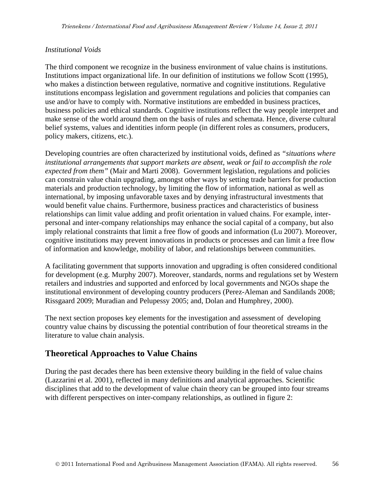### *Institutional Voids*

The third component we recognize in the business environment of value chains is institutions. Institutions impact organizational life. In our definition of institutions we follow Scott (1995), who makes a distinction between regulative, normative and cognitive institutions. Regulative institutions encompass legislation and government regulations and policies that companies can use and/or have to comply with. Normative institutions are embedded in business practices, business policies and ethical standards. Cognitive institutions reflect the way people interpret and make sense of the world around them on the basis of rules and schemata. Hence, diverse cultural belief systems, values and identities inform people (in different roles as consumers, producers, policy makers, citizens, etc.).

Developing countries are often characterized by institutional voids, defined as *"situations where institutional arrangements that support markets are absent, weak or fail to accomplish the role expected from them"* (Mair and Marti 2008). Government legislation, regulations and policies can constrain value chain upgrading, amongst other ways by setting trade barriers for production materials and production technology, by limiting the flow of information, national as well as international, by imposing unfavorable taxes and by denying infrastructural investments that would benefit value chains. Furthermore, business practices and characteristics of business relationships can limit value adding and profit orientation in valued chains. For example, interpersonal and inter-company relationships may enhance the social capital of a company, but also imply relational constraints that limit a free flow of goods and information (Lu 2007). Moreover, cognitive institutions may prevent innovations in products or processes and can limit a free flow of information and knowledge, mobility of labor, and relationships between communities.

A facilitating government that supports innovation and upgrading is often considered conditional for development (e.g. Murphy 2007). Moreover, standards, norms and regulations set by Western retailers and industries and supported and enforced by local governments and NGOs shape the institutional environment of developing country producers (Perez-Aleman and Sandilands 2008; Rissgaard 2009; Muradian and Pelupessy 2005; and, Dolan and Humphrey, 2000).

The next section proposes key elements for the investigation and assessment of developing country value chains by discussing the potential contribution of four theoretical streams in the literature to value chain analysis.

# **Theoretical Approaches to Value Chains**

During the past decades there has been extensive theory building in the field of value chains (Lazzarini et al. 2001), reflected in many definitions and analytical approaches. Scientific disciplines that add to the development of value chain theory can be grouped into four streams with different perspectives on inter-company relationships, as outlined in figure 2: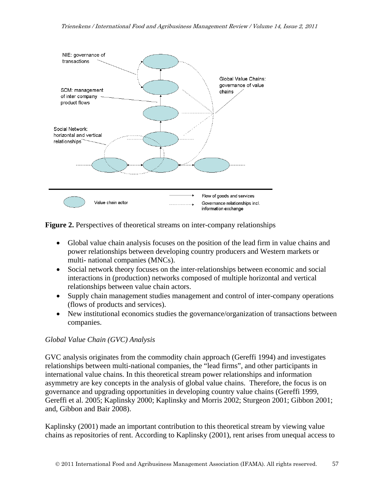

**Figure 2.** Perspectives of theoretical streams on inter-company relationships

- Global value chain analysis focuses on the position of the lead firm in value chains and power relationships between developing country producers and Western markets or multi- national companies (MNCs).
- Social network theory focuses on the inter-relationships between economic and social interactions in (production) networks composed of multiple horizontal and vertical relationships between value chain actors.
- Supply chain management studies management and control of inter-company operations (flows of products and services).
- New institutional economics studies the governance/organization of transactions between companies.

### *Global Value Chain (GVC) Analysis*

GVC analysis originates from the commodity chain approach (Gereffi 1994) and investigates relationships between multi-national companies, the "lead firms", and other participants in international value chains. In this theoretical stream power relationships and information asymmetry are key concepts in the analysis of global value chains. Therefore, the focus is on governance and upgrading opportunities in developing country value chains (Gereffi 1999, Gereffi et al. 2005; Kaplinsky 2000; Kaplinsky and Morris 2002; Sturgeon 2001; Gibbon 2001; and, Gibbon and Bair 2008).

Kaplinsky (2001) made an important contribution to this theoretical stream by viewing value chains as repositories of rent. According to Kaplinsky (2001), rent arises from unequal access to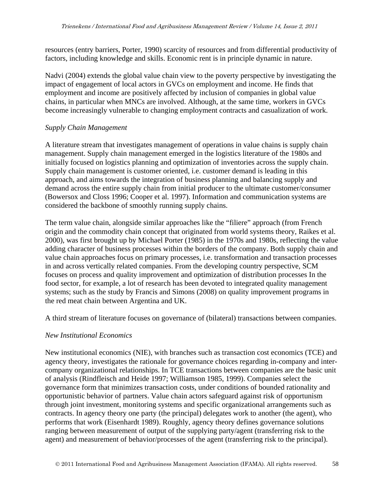resources (entry barriers, Porter, 1990) scarcity of resources and from differential productivity of factors, including knowledge and skills. Economic rent is in principle dynamic in nature.

Nadvi (2004) extends the global value chain view to the poverty perspective by investigating the impact of engagement of local actors in GVCs on employment and income. He finds that employment and income are positively affected by inclusion of companies in global value chains, in particular when MNCs are involved. Although, at the same time, workers in GVCs become increasingly vulnerable to changing employment contracts and casualization of work.

#### *Supply Chain Management*

A literature stream that investigates management of operations in value chains is supply chain management. Supply chain management emerged in the logistics literature of the 1980s and initially focused on logistics planning and optimization of inventories across the supply chain. Supply chain management is customer oriented, i.e. customer demand is leading in this approach, and aims towards the integration of business planning and balancing supply and demand across the entire supply chain from initial producer to the ultimate customer/consumer (Bowersox and Closs 1996; Cooper et al. 1997). Information and communication systems are considered the backbone of smoothly running supply chains.

The term value chain, alongside similar approaches like the "filiere" approach (from French origin and the commodity chain concept that originated from world systems theory, Raikes et al. 2000), was first brought up by Michael Porter (1985) in the 1970s and 1980s, reflecting the value adding character of business processes within the borders of the company. Both supply chain and value chain approaches focus on primary processes, i.e. transformation and transaction processes in and across vertically related companies. From the developing country perspective, SCM focuses on process and quality improvement and optimization of distribution processes In the food sector, for example, a lot of research has been devoted to integrated quality management systems; such as the study by Francis and Simons (2008) on quality improvement programs in the red meat chain between Argentina and UK.

A third stream of literature focuses on governance of (bilateral) transactions between companies.

### *New Institutional Economics*

New institutional economics (NIE), with branches such as transaction cost economics (TCE) and agency theory, investigates the rationale for governance choices regarding in-company and intercompany organizational relationships. In TCE transactions between companies are the basic unit of analysis (Rindfleisch and Heide 1997; Williamson 1985, 1999). Companies select the governance form that minimizes transaction costs, under conditions of bounded rationality and opportunistic behavior of partners. Value chain actors safeguard against risk of opportunism through joint investment, monitoring systems and specific organizational arrangements such as contracts. In agency theory one party (the principal) delegates work to another (the agent), who performs that work (Eisenhardt 1989). Roughly, agency theory defines governance solutions ranging between measurement of output of the supplying party/agent (transferring risk to the agent) and measurement of behavior/processes of the agent (transferring risk to the principal).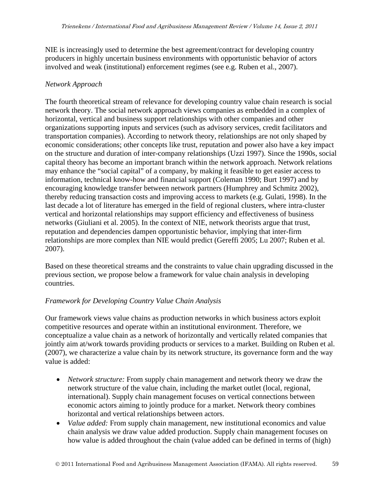NIE is increasingly used to determine the best agreement/contract for developing country producers in highly uncertain business environments with opportunistic behavior of actors involved and weak (institutional) enforcement regimes (see e.g. Ruben et al., 2007).

### *Network Approach*

The fourth theoretical stream of relevance for developing country value chain research is social network theory. The social network approach views companies as embedded in a complex of horizontal, vertical and business support relationships with other companies and other organizations supporting inputs and services (such as advisory services, credit facilitators and transportation companies). According to network theory, relationships are not only shaped by economic considerations; other concepts like trust, reputation and power also have a key impact on the structure and duration of inter-company relationships (Uzzi 1997). Since the 1990s, social capital theory has become an important branch within the network approach. Network relations may enhance the "social capital" of a company, by making it feasible to get easier access to information, technical know-how and financial support (Coleman 1990; Burt 1997) and by encouraging knowledge transfer between network partners (Humphrey and Schmitz 2002), thereby reducing transaction costs and improving access to markets (e.g. Gulati, 1998). In the last decade a lot of literature has emerged in the field of regional clusters, where intra-cluster vertical and horizontal relationships may support efficiency and effectiveness of business networks (Giuliani et al. 2005). In the context of NIE, network theorists argue that trust, reputation and dependencies dampen opportunistic behavior, implying that inter-firm relationships are more complex than NIE would predict (Gereffi 2005; Lu 2007; Ruben et al. 2007).

Based on these theoretical streams and the constraints to value chain upgrading discussed in the previous section, we propose below a framework for value chain analysis in developing countries.

# *Framework for Developing Country Value Chain Analysis*

Our framework views value chains as production networks in which business actors exploit competitive resources and operate within an institutional environment. Therefore, we conceptualize a value chain as a network of horizontally and vertically related companies that jointly aim at/work towards providing products or services to a market. Building on Ruben et al. (2007), we characterize a value chain by its network structure, its governance form and the way value is added:

- *Network structure:* From supply chain management and network theory we draw the network structure of the value chain, including the market outlet (local, regional, international). Supply chain management focuses on vertical connections between economic actors aiming to jointly produce for a market. Network theory combines horizontal and vertical relationships between actors.
- *Value added:* From supply chain management, new institutional economics and value chain analysis we draw value added production. Supply chain management focuses on how value is added throughout the chain (value added can be defined in terms of (high)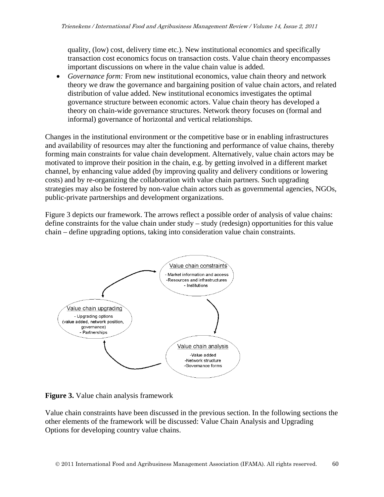quality, (low) cost, delivery time etc.). New institutional economics and specifically transaction cost economics focus on transaction costs. Value chain theory encompasses important discussions on where in the value chain value is added.

 *Governance form:* From new institutional economics, value chain theory and network theory we draw the governance and bargaining position of value chain actors, and related distribution of value added. New institutional economics investigates the optimal governance structure between economic actors. Value chain theory has developed a theory on chain-wide governance structures. Network theory focuses on (formal and informal) governance of horizontal and vertical relationships.

Changes in the institutional environment or the competitive base or in enabling infrastructures and availability of resources may alter the functioning and performance of value chains, thereby forming main constraints for value chain development. Alternatively, value chain actors may be motivated to improve their position in the chain, e.g. by getting involved in a different market channel, by enhancing value added (by improving quality and delivery conditions or lowering costs) and by re-organizing the collaboration with value chain partners. Such upgrading strategies may also be fostered by non-value chain actors such as governmental agencies, NGOs, public-private partnerships and development organizations.

Figure 3 depicts our framework. The arrows reflect a possible order of analysis of value chains: define constraints for the value chain under study – study (redesign) opportunities for this value chain – define upgrading options, taking into consideration value chain constraints.



**Figure 3.** Value chain analysis framework

Value chain constraints have been discussed in the previous section. In the following sections the other elements of the framework will be discussed: Value Chain Analysis and Upgrading Options for developing country value chains.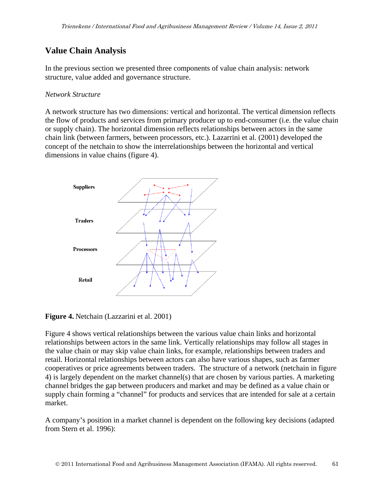# **Value Chain Analysis**

In the previous section we presented three components of value chain analysis: network structure, value added and governance structure.

#### *Network Structure*

A network structure has two dimensions: vertical and horizontal. The vertical dimension reflects the flow of products and services from primary producer up to end-consumer (i.e. the value chain or supply chain). The horizontal dimension reflects relationships between actors in the same chain link (between farmers, between processors, etc.). Lazarrini et al. (2001) developed the concept of the netchain to show the interrelationships between the horizontal and vertical dimensions in value chains (figure 4).



#### **Figure 4.** Netchain (Lazzarini et al. 2001)

Figure 4 shows vertical relationships between the various value chain links and horizontal relationships between actors in the same link. Vertically relationships may follow all stages in the value chain or may skip value chain links, for example, relationships between traders and retail. Horizontal relationships between actors can also have various shapes, such as farmer cooperatives or price agreements between traders. The structure of a network (netchain in figure 4) is largely dependent on the market channel(s) that are chosen by various parties. A marketing channel bridges the gap between producers and market and may be defined as a value chain or supply chain forming a "channel" for products and services that are intended for sale at a certain market.

A company's position in a market channel is dependent on the following key decisions (adapted from Stern et al. 1996):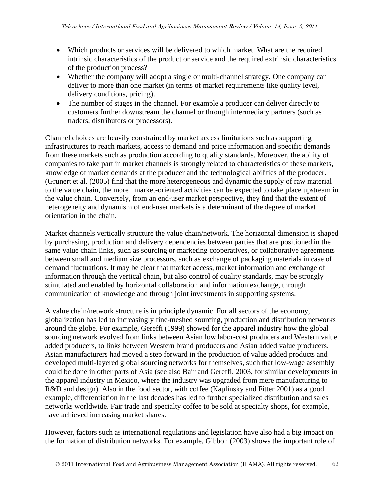- Which products or services will be delivered to which market. What are the required intrinsic characteristics of the product or service and the required extrinsic characteristics of the production process?
- Whether the company will adopt a single or multi-channel strategy. One company can deliver to more than one market (in terms of market requirements like quality level, delivery conditions, pricing).
- The number of stages in the channel. For example a producer can deliver directly to customers further downstream the channel or through intermediary partners (such as traders, distributors or processors).

Channel choices are heavily constrained by market access limitations such as supporting infrastructures to reach markets, access to demand and price information and specific demands from these markets such as production according to quality standards. Moreover, the ability of companies to take part in market channels is strongly related to characteristics of these markets, knowledge of market demands at the producer and the technological abilities of the producer. (Grunert et al. (2005) find that the more heterogeneous and dynamic the supply of raw material to the value chain, the more market-oriented activities can be expected to take place upstream in the value chain. Conversely, from an end-user market perspective, they find that the extent of heterogeneity and dynamism of end-user markets is a determinant of the degree of market orientation in the chain.

Market channels vertically structure the value chain/network. The horizontal dimension is shaped by purchasing, production and delivery dependencies between parties that are positioned in the same value chain links, such as sourcing or marketing cooperatives, or collaborative agreements between small and medium size processors, such as exchange of packaging materials in case of demand fluctuations. It may be clear that market access, market information and exchange of information through the vertical chain, but also control of quality standards, may be strongly stimulated and enabled by horizontal collaboration and information exchange, through communication of knowledge and through joint investments in supporting systems.

A value chain/network structure is in principle dynamic. For all sectors of the economy, globalization has led to increasingly fine-meshed sourcing, production and distribution networks around the globe. For example, Gereffi (1999) showed for the apparel industry how the global sourcing network evolved from links between Asian low labor-cost producers and Western value added producers, to links between Western brand producers and Asian added value producers. Asian manufacturers had moved a step forward in the production of value added products and developed multi-layered global sourcing networks for themselves, such that low-wage assembly could be done in other parts of Asia (see also Bair and Gereffi, 2003, for similar developments in the apparel industry in Mexico, where the industry was upgraded from mere manufacturing to R&D and design). Also in the food sector, with coffee (Kaplinsky and Fitter 2001) as a good example, differentiation in the last decades has led to further specialized distribution and sales networks worldwide. Fair trade and specialty coffee to be sold at specialty shops, for example, have achieved increasing market shares.

However, factors such as international regulations and legislation have also had a big impact on the formation of distribution networks. For example, Gibbon (2003) shows the important role of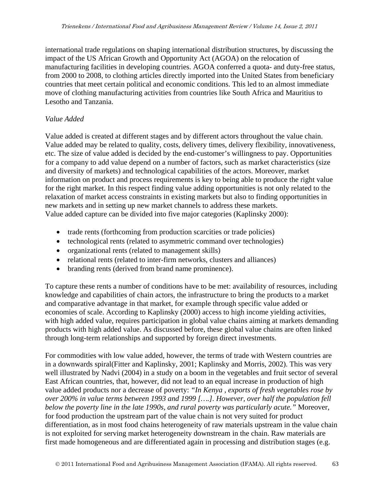international trade regulations on shaping international distribution structures, by discussing the impact of the US African Growth and Opportunity Act (AGOA) on the relocation of manufacturing facilities in developing countries. AGOA conferred a quota- and duty-free status, from 2000 to 2008, to clothing articles directly imported into the United States from beneficiary countries that meet certain political and economic conditions. This led to an almost immediate move of clothing manufacturing activities from countries like South Africa and Mauritius to Lesotho and Tanzania.

### *Value Added*

Value added is created at different stages and by different actors throughout the value chain. Value added may be related to quality, costs, delivery times, delivery flexibility, innovativeness, etc. The size of value added is decided by the end-customer's willingness to pay. Opportunities for a company to add value depend on a number of factors, such as market characteristics (size and diversity of markets) and technological capabilities of the actors. Moreover, market information on product and process requirements is key to being able to produce the right value for the right market. In this respect finding value adding opportunities is not only related to the relaxation of market access constraints in existing markets but also to finding opportunities in new markets and in setting up new market channels to address these markets. Value added capture can be divided into five major categories (Kaplinsky 2000):

- trade rents (forthcoming from production scarcities or trade policies)
- technological rents (related to asymmetric command over technologies)
- organizational rents (related to management skills)
- relational rents (related to inter-firm networks, clusters and alliances)
- branding rents (derived from brand name prominence).

To capture these rents a number of conditions have to be met: availability of resources, including knowledge and capabilities of chain actors, the infrastructure to bring the products to a market and comparative advantage in that market, for example through specific value added or economies of scale. According to Kaplinsky (2000) access to high income yielding activities, with high added value, requires participation in global value chains aiming at markets demanding products with high added value. As discussed before, these global value chains are often linked through long-term relationships and supported by foreign direct investments.

For commodities with low value added, however, the terms of trade with Western countries are in a downwards spiral(Fitter and Kaplinsky, 2001; Kaplinsky and Morris, 2002). This was very well illustrated by Nadvi (2004) in a study on a boom in the vegetables and fruit sector of several East African countries, that, however, did not lead to an equal increase in production of high value added products nor a decrease of poverty: *"In Kenya , exports of fresh vegetables rose by over 200% in value terms between 1993 and 1999 [….]. However, over half the population fell below the poverty line in the late 1990s, and rural poverty was particularly acute."* Moreover, for food production the upstream part of the value chain is not very suited for product differentiation, as in most food chains heterogeneity of raw materials upstream in the value chain is not exploited for serving market heterogeneity downstream in the chain. Raw materials are first made homogeneous and are differentiated again in processing and distribution stages (e.g.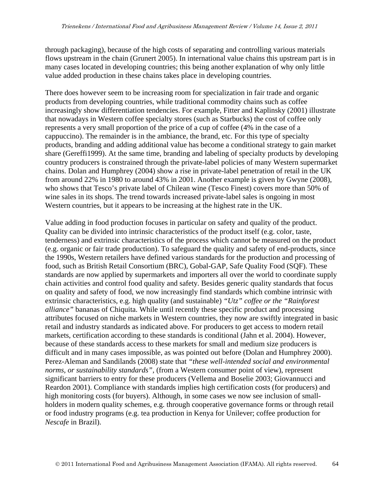through packaging), because of the high costs of separating and controlling various materials flows upstream in the chain (Grunert 2005). In international value chains this upstream part is in many cases located in developing countries; this being another explanation of why only little value added production in these chains takes place in developing countries.

There does however seem to be increasing room for specialization in fair trade and organic products from developing countries, while traditional commodity chains such as coffee increasingly show differentiation tendencies. For example, Fitter and Kaplinsky (2001) illustrate that nowadays in Western coffee specialty stores (such as Starbucks) the cost of coffee only represents a very small proportion of the price of a cup of coffee (4% in the case of a cappuccino). The remainder is in the ambiance, the brand, etc. For this type of specialty products, branding and adding additional value has become a conditional strategy to gain market share (Gereffi1999). At the same time, branding and labeling of specialty products by developing country producers is constrained through the private-label policies of many Western supermarket chains. Dolan and Humphrey (2004) show a rise in private-label penetration of retail in the UK from around 22% in 1980 to around 43% in 2001. Another example is given by Gwyne (2008), who shows that Tesco's private label of Chilean wine (Tesco Finest) covers more than 50% of wine sales in its shops. The trend towards increased private-label sales is ongoing in most Western countries, but it appears to be increasing at the highest rate in the UK.

Value adding in food production focuses in particular on safety and quality of the product. Quality can be divided into intrinsic characteristics of the product itself (e.g. color, taste, tenderness) and extrinsic characteristics of the process which cannot be measured on the product (e.g. organic or fair trade production). To safeguard the quality and safety of end-products, since the 1990s, Western retailers have defined various standards for the production and processing of food, such as British Retail Consortium (BRC), Gobal-GAP, Safe Quality Food (SQF). These standards are now applied by supermarkets and importers all over the world to coordinate supply chain activities and control food quality and safety. Besides generic quality standards that focus on quality and safety of food, we now increasingly find standards which combine intrinsic with extrinsic characteristics, e.g. high quality (and sustainable) *"Utz" coffee or the "Rainforest alliance"* bananas of Chiquita. While until recently these specific product and processing attributes focused on niche markets in Western countries, they now are swiftly integrated in basic retail and industry standards as indicated above. For producers to get access to modern retail markets, certification according to these standards is conditional (Jahn et al. 2004). However, because of these standards access to these markets for small and medium size producers is difficult and in many cases impossible, as was pointed out before (Dolan and Humphrey 2000). Perez-Aleman and Sandilands (2008) state that *"these well-intended social and environmental norms, or sustainability standards",* (from a Western consumer point of view), represent significant barriers to entry for these producers (Vellema and Boselie 2003; Giovannucci and Reardon 2001). Compliance with standards implies high certification costs (for producers) and high monitoring costs (for buyers). Although, in some cases we now see inclusion of smallholders in modern quality schemes, e.g. through cooperative governance forms or through retail or food industry programs (e.g. tea production in Kenya for Unilever; coffee production for *Nescafe* in Brazil).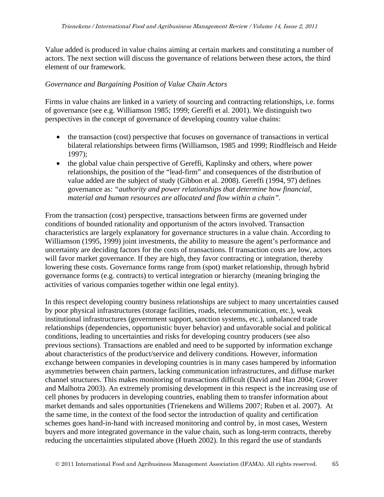Value added is produced in value chains aiming at certain markets and constituting a number of actors. The next section will discuss the governance of relations between these actors, the third element of our framework.

### *Governance and Bargaining Position of Value Chain Actors*

Firms in value chains are linked in a variety of sourcing and contracting relationships, i.e. forms of governance (see e.g. Williamson 1985; 1999; Gereffi et al. 2001). We distinguish two perspectives in the concept of governance of developing country value chains:

- the transaction (cost) perspective that focuses on governance of transactions in vertical bilateral relationships between firms (Williamson, 1985 and 1999; Rindfleisch and Heide 1997);
- the global value chain perspective of Gereffi, Kaplinsky and others, where power relationships, the position of the "lead-firm" and consequences of the distribution of value added are the subject of study (Gibbon et al. 2008). Gereffi (1994, 97) defines governance as: *"authority and power relationships that determine how financial, material and human resources are allocated and flow within a chain".*

From the transaction (cost) perspective, transactions between firms are governed under conditions of bounded rationality and opportunism of the actors involved. Transaction characteristics are largely explanatory for governance structures in a value chain. According to Williamson (1995, 1999) joint investments, the ability to measure the agent's performance and uncertainty are deciding factors for the costs of transactions. If transaction costs are low, actors will favor market governance. If they are high, they favor contracting or integration, thereby lowering these costs. Governance forms range from (spot) market relationship, through hybrid governance forms (e.g. contracts) to vertical integration or hierarchy (meaning bringing the activities of various companies together within one legal entity).

In this respect developing country business relationships are subject to many uncertainties caused by poor physical infrastructures (storage facilities, roads, telecommunication, etc.), weak institutional infrastructures (government support, sanction systems, etc.), unbalanced trade relationships (dependencies, opportunistic buyer behavior) and unfavorable social and political conditions, leading to uncertainties and risks for developing country producers (see also previous sections). Transactions are enabled and need to be supported by information exchange about characteristics of the product/service and delivery conditions. However, information exchange between companies in developing countries is in many cases hampered by information asymmetries between chain partners, lacking communication infrastructures, and diffuse market channel structures. This makes monitoring of transactions difficult (David and Han 2004; Grover and Malhotra 2003). An extremely promising development in this respect is the increasing use of cell phones by producers in developing countries, enabling them to transfer information about market demands and sales opportunities (Trienekens and Willems 2007; Ruben et al. 2007). At the same time, in the context of the food sector the introduction of quality and certification schemes goes hand-in-hand with increased monitoring and control by, in most cases, Western buyers and more integrated governance in the value chain, such as long-term contracts, thereby reducing the uncertainties stipulated above (Hueth 2002). In this regard the use of standards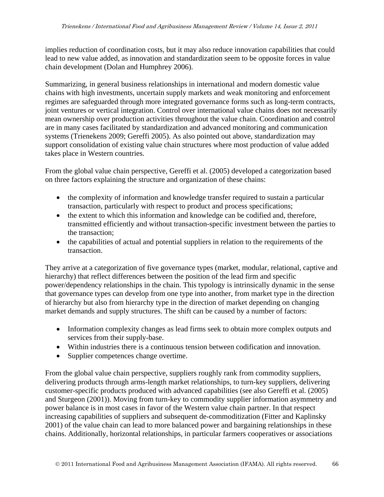implies reduction of coordination costs, but it may also reduce innovation capabilities that could lead to new value added, as innovation and standardization seem to be opposite forces in value chain development (Dolan and Humphrey 2006).

Summarizing, in general business relationships in international and modern domestic value chains with high investments, uncertain supply markets and weak monitoring and enforcement regimes are safeguarded through more integrated governance forms such as long-term contracts, joint ventures or vertical integration. Control over international value chains does not necessarily mean ownership over production activities throughout the value chain. Coordination and control are in many cases facilitated by standardization and advanced monitoring and communication systems (Trienekens 2009; Gereffi 2005). As also pointed out above, standardization may support consolidation of existing value chain structures where most production of value added takes place in Western countries.

From the global value chain perspective, Gereffi et al. (2005) developed a categorization based on three factors explaining the structure and organization of these chains:

- the complexity of information and knowledge transfer required to sustain a particular transaction, particularly with respect to product and process specifications;
- the extent to which this information and knowledge can be codified and, therefore, transmitted efficiently and without transaction-specific investment between the parties to the transaction;
- the capabilities of actual and potential suppliers in relation to the requirements of the transaction.

They arrive at a categorization of five governance types (market, modular, relational, captive and hierarchy) that reflect differences between the position of the lead firm and specific power/dependency relationships in the chain. This typology is intrinsically dynamic in the sense that governance types can develop from one type into another, from market type in the direction of hierarchy but also from hierarchy type in the direction of market depending on changing market demands and supply structures. The shift can be caused by a number of factors:

- Information complexity changes as lead firms seek to obtain more complex outputs and services from their supply-base.
- Within industries there is a continuous tension between codification and innovation.
- Supplier competences change overtime.

From the global value chain perspective, suppliers roughly rank from commodity suppliers, delivering products through arms-length market relationships, to turn-key suppliers, delivering customer-specific products produced with advanced capabilities (see also Gereffi et al. (2005) and Sturgeon (2001)). Moving from turn-key to commodity supplier information asymmetry and power balance is in most cases in favor of the Western value chain partner. In that respect increasing capabilities of suppliers and subsequent de-commoditization (Fitter and Kaplinsky 2001) of the value chain can lead to more balanced power and bargaining relationships in these chains. Additionally, horizontal relationships, in particular farmers cooperatives or associations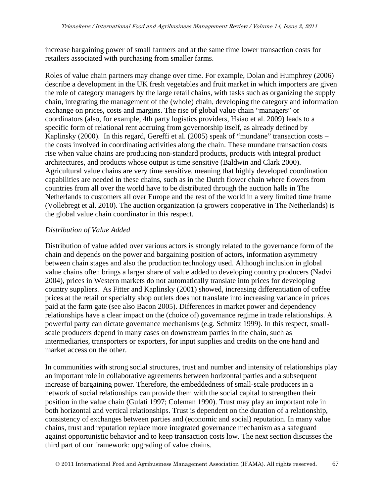increase bargaining power of small farmers and at the same time lower transaction costs for retailers associated with purchasing from smaller farms.

Roles of value chain partners may change over time. For example, Dolan and Humphrey (2006) describe a development in the UK fresh vegetables and fruit market in which importers are given the role of category managers by the large retail chains, with tasks such as organizing the supply chain, integrating the management of the (whole) chain, developing the category and information exchange on prices, costs and margins. The rise of global value chain "managers" or coordinators (also, for example, 4th party logistics providers, Hsiao et al. 2009) leads to a specific form of relational rent accruing from governorship itself, as already defined by Kaplinsky (2000). In this regard, Gereffi et al. (2005) speak of "mundane" transaction costs – the costs involved in coordinating activities along the chain. These mundane transaction costs rise when value chains are producing non-standard products, products with integral product architectures, and products whose output is time sensitive (Baldwin and Clark 2000). Agricultural value chains are very time sensitive, meaning that highly developed coordination capabilities are needed in these chains, such as in the Dutch flower chain where flowers from countries from all over the world have to be distributed through the auction halls in The Netherlands to customers all over Europe and the rest of the world in a very limited time frame (Vollebregt et al. 2010). The auction organization (a growers cooperative in The Netherlands) is the global value chain coordinator in this respect.

#### *Distribution of Value Added*

Distribution of value added over various actors is strongly related to the governance form of the chain and depends on the power and bargaining position of actors, information asymmetry between chain stages and also the production technology used. Although inclusion in global value chains often brings a larger share of value added to developing country producers (Nadvi 2004), prices in Western markets do not automatically translate into prices for developing country suppliers. As Fitter and Kaplinsky (2001) showed, increasing differentiation of coffee prices at the retail or specialty shop outlets does not translate into increasing variance in prices paid at the farm gate (see also Bacon 2005). Differences in market power and dependency relationships have a clear impact on the (choice of) governance regime in trade relationships. A powerful party can dictate governance mechanisms (e.g. Schmitz 1999). In this respect, smallscale producers depend in many cases on downstream parties in the chain, such as intermediaries, transporters or exporters, for input supplies and credits on the one hand and market access on the other.

In communities with strong social structures, trust and number and intensity of relationships play an important role in collaborative agreements between horizontal parties and a subsequent increase of bargaining power. Therefore, the embeddedness of small-scale producers in a network of social relationships can provide them with the social capital to strengthen their position in the value chain (Gulati 1997; Coleman 1990). Trust may play an important role in both horizontal and vertical relationships. Trust is dependent on the duration of a relationship, consistency of exchanges between parties and (economic and social) reputation. In many value chains, trust and reputation replace more integrated governance mechanism as a safeguard against opportunistic behavior and to keep transaction costs low. The next section discusses the third part of our framework: upgrading of value chains.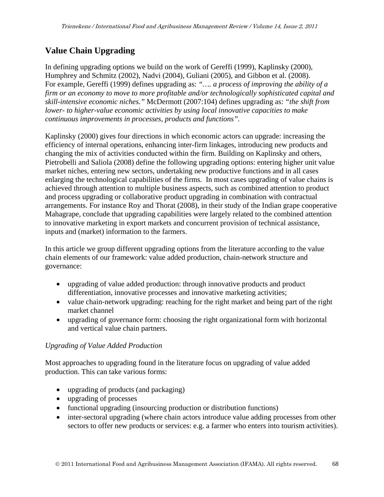# **Value Chain Upgrading**

In defining upgrading options we build on the work of Gereffi (1999), Kaplinsky (2000), Humphrey and Schmitz (2002), Nadvi (2004), Guliani (2005), and Gibbon et al. (2008). For example, Gereffi (1999) defines upgrading as: *"…. a process of improving the ability of a firm or an economy to move to more profitable and/or technologically sophisticated capital and skill-intensive economic niches."* McDermott (2007:104) defines upgrading as: *"the shift from lower- to higher-value economic activities by using local innovative capacities to make continuous improvements in processes, products and functions".* 

Kaplinsky (2000) gives four directions in which economic actors can upgrade: increasing the efficiency of internal operations, enhancing inter-firm linkages, introducing new products and changing the mix of activities conducted within the firm. Building on Kaplinsky and others, Pietrobelli and Saliola (2008) define the following upgrading options: entering higher unit value market niches, entering new sectors, undertaking new productive functions and in all cases enlarging the technological capabilities of the firms. In most cases upgrading of value chains is achieved through attention to multiple business aspects, such as combined attention to product and process upgrading or collaborative product upgrading in combination with contractual arrangements. For instance Roy and Thorat (2008), in their study of the Indian grape cooperative Mahagrape, conclude that upgrading capabilities were largely related to the combined attention to innovative marketing in export markets and concurrent provision of technical assistance, inputs and (market) information to the farmers.

In this article we group different upgrading options from the literature according to the value chain elements of our framework: value added production, chain-network structure and governance:

- upgrading of value added production: through innovative products and product differentiation, innovative processes and innovative marketing activities;
- value chain-network upgrading: reaching for the right market and being part of the right market channel
- upgrading of governance form: choosing the right organizational form with horizontal and vertical value chain partners.

# *Upgrading of Value Added Production*

Most approaches to upgrading found in the literature focus on upgrading of value added production. This can take various forms:

- upgrading of products (and packaging)
- upgrading of processes
- functional upgrading (insourcing production or distribution functions)
- inter-sectoral upgrading (where chain actors introduce value adding processes from other sectors to offer new products or services: e.g. a farmer who enters into tourism activities).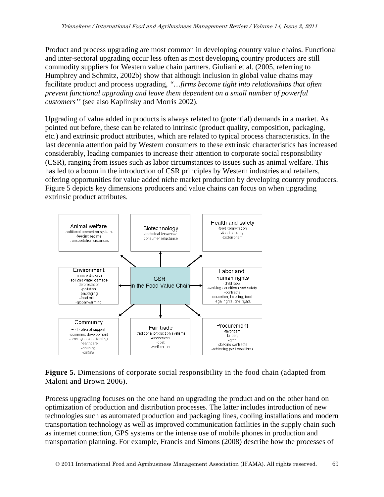Product and process upgrading are most common in developing country value chains. Functional and inter-sectoral upgrading occur less often as most developing country producers are still commodity suppliers for Western value chain partners. Giuliani et al. (2005, referring to Humphrey and Schmitz, 2002b) show that although inclusion in global value chains may facilitate product and process upgrading, *"…firms become tight into relationships that often prevent functional upgrading and leave them dependent on a small number of powerful customers''* (see also Kaplinsky and Morris 2002).

Upgrading of value added in products is always related to (potential) demands in a market. As pointed out before, these can be related to intrinsic (product quality, composition, packaging, etc.) and extrinsic product attributes, which are related to typical process characteristics. In the last decennia attention paid by Western consumers to these extrinsic characteristics has increased considerably, leading companies to increase their attention to corporate social responsibility (CSR), ranging from issues such as labor circumstances to issues such as animal welfare. This has led to a boom in the introduction of CSR principles by Western industries and retailers, offering opportunities for value added niche market production by developing country producers. Figure 5 depicts key dimensions producers and value chains can focus on when upgrading extrinsic product attributes.



**Figure 5.** Dimensions of corporate social responsibility in the food chain (adapted from Maloni and Brown 2006).

Process upgrading focuses on the one hand on upgrading the product and on the other hand on optimization of production and distribution processes. The latter includes introduction of new technologies such as automated production and packaging lines, cooling installations and modern transportation technology as well as improved communication facilities in the supply chain such as internet connection, GPS systems or the intense use of mobile phones in production and transportation planning. For example, Francis and Simons (2008) describe how the processes of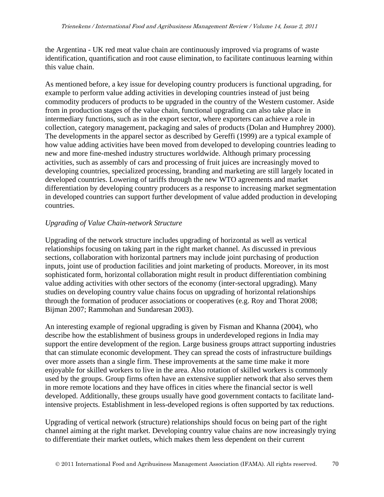the Argentina - UK red meat value chain are continuously improved via programs of waste identification, quantification and root cause elimination, to facilitate continuous learning within this value chain.

As mentioned before, a key issue for developing country producers is functional upgrading, for example to perform value adding activities in developing countries instead of just being commodity producers of products to be upgraded in the country of the Western customer. Aside from in production stages of the value chain, functional upgrading can also take place in intermediary functions, such as in the export sector, where exporters can achieve a role in collection, category management, packaging and sales of products (Dolan and Humphrey 2000). The developments in the apparel sector as described by Gereffi (1999) are a typical example of how value adding activities have been moved from developed to developing countries leading to new and more fine-meshed industry structures worldwide. Although primary processing activities, such as assembly of cars and processing of fruit juices are increasingly moved to developing countries, specialized processing, branding and marketing are still largely located in developed countries. Lowering of tariffs through the new WTO agreements and market differentiation by developing country producers as a response to increasing market segmentation in developed countries can support further development of value added production in developing countries.

### *Upgrading of Value Chain-network Structure*

Upgrading of the network structure includes upgrading of horizontal as well as vertical relationships focusing on taking part in the right market channel. As discussed in previous sections, collaboration with horizontal partners may include joint purchasing of production inputs, joint use of production facilities and joint marketing of products. Moreover, in its most sophisticated form, horizontal collaboration might result in product differentiation combining value adding activities with other sectors of the economy (inter-sectoral upgrading). Many studies on developing country value chains focus on upgrading of horizontal relationships through the formation of producer associations or cooperatives (e.g. Roy and Thorat 2008; Bijman 2007; Rammohan and Sundaresan 2003).

An interesting example of regional upgrading is given by Fisman and Khanna (2004), who describe how the establishment of business groups in underdeveloped regions in India may support the entire development of the region. Large business groups attract supporting industries that can stimulate economic development. They can spread the costs of infrastructure buildings over more assets than a single firm. These improvements at the same time make it more enjoyable for skilled workers to live in the area. Also rotation of skilled workers is commonly used by the groups. Group firms often have an extensive supplier network that also serves them in more remote locations and they have offices in cities where the financial sector is well developed. Additionally, these groups usually have good government contacts to facilitate landintensive projects. Establishment in less-developed regions is often supported by tax reductions.

Upgrading of vertical network (structure) relationships should focus on being part of the right channel aiming at the right market. Developing country value chains are now increasingly trying to differentiate their market outlets, which makes them less dependent on their current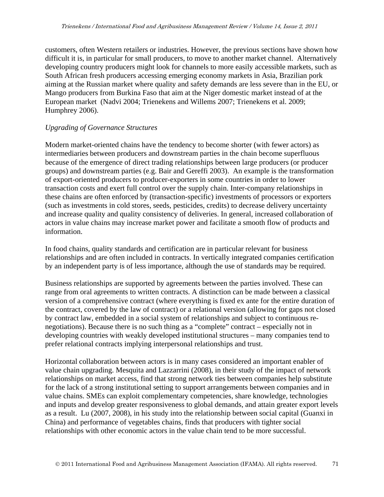customers, often Western retailers or industries. However, the previous sections have shown how difficult it is, in particular for small producers, to move to another market channel. Alternatively developing country producers might look for channels to more easily accessible markets, such as South African fresh producers accessing emerging economy markets in Asia, Brazilian pork aiming at the Russian market where quality and safety demands are less severe than in the EU, or Mango producers from Burkina Faso that aim at the Niger domestic market instead of at the European market (Nadvi 2004; Trienekens and Willems 2007; Trienekens et al. 2009; Humphrey 2006).

### *Upgrading of Governance Structures*

Modern market-oriented chains have the tendency to become shorter (with fewer actors) as intermediaries between producers and downstream parties in the chain become superfluous because of the emergence of direct trading relationships between large producers (or producer groups) and downstream parties (e.g. Bair and Gereffi 2003). An example is the transformation of export-oriented producers to producer-exporters in some countries in order to lower transaction costs and exert full control over the supply chain. Inter-company relationships in these chains are often enforced by (transaction-specific) investments of processors or exporters (such as investments in cold stores, seeds, pesticides, credits) to decrease delivery uncertainty and increase quality and quality consistency of deliveries. In general, increased collaboration of actors in value chains may increase market power and facilitate a smooth flow of products and information.

In food chains, quality standards and certification are in particular relevant for business relationships and are often included in contracts. In vertically integrated companies certification by an independent party is of less importance, although the use of standards may be required.

Business relationships are supported by agreements between the parties involved. These can range from oral agreements to written contracts. A distinction can be made between a classical version of a comprehensive contract (where everything is fixed ex ante for the entire duration of the contract, covered by the law of contract) or a relational version (allowing for gaps not closed by contract law, embedded in a social system of relationships and subject to continuous renegotiations). Because there is no such thing as a "complete" contract – especially not in developing countries with weakly developed institutional structures – many companies tend to prefer relational contracts implying interpersonal relationships and trust.

Horizontal collaboration between actors is in many cases considered an important enabler of value chain upgrading. Mesquita and Lazzarrini (2008), in their study of the impact of network relationships on market access, find that strong network ties between companies help substitute for the lack of a strong institutional setting to support arrangements between companies and in value chains. SMEs can exploit complementary competencies, share knowledge, technologies and inputs and develop greater responsiveness to global demands, and attain greater export levels as a result. Lu (2007, 2008), in his study into the relationship between social capital (Guanxi in China) and performance of vegetables chains, finds that producers with tighter social relationships with other economic actors in the value chain tend to be more successful.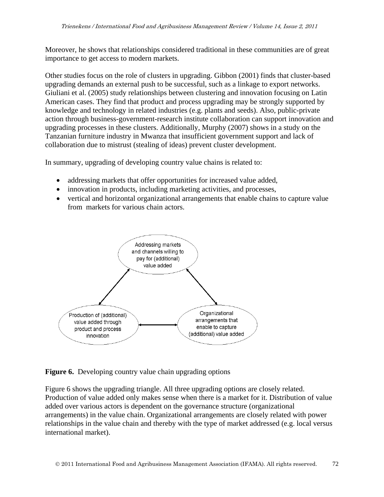Moreover, he shows that relationships considered traditional in these communities are of great importance to get access to modern markets.

Other studies focus on the role of clusters in upgrading. Gibbon (2001) finds that cluster-based upgrading demands an external push to be successful, such as a linkage to export networks. Giuliani et al. (2005) study relationships between clustering and innovation focusing on Latin American cases. They find that product and process upgrading may be strongly supported by knowledge and technology in related industries (e.g. plants and seeds). Also, public-private action through business-government-research institute collaboration can support innovation and upgrading processes in these clusters. Additionally, Murphy (2007) shows in a study on the Tanzanian furniture industry in Mwanza that insufficient government support and lack of collaboration due to mistrust (stealing of ideas) prevent cluster development.

In summary, upgrading of developing country value chains is related to:

- addressing markets that offer opportunities for increased value added,
- innovation in products, including marketing activities, and processes,
- vertical and horizontal organizational arrangements that enable chains to capture value from markets for various chain actors.



Figure 6. Developing country value chain upgrading options

Figure 6 shows the upgrading triangle. All three upgrading options are closely related. Production of value added only makes sense when there is a market for it. Distribution of value added over various actors is dependent on the governance structure (organizational arrangements) in the value chain. Organizational arrangements are closely related with power relationships in the value chain and thereby with the type of market addressed (e.g. local versus international market).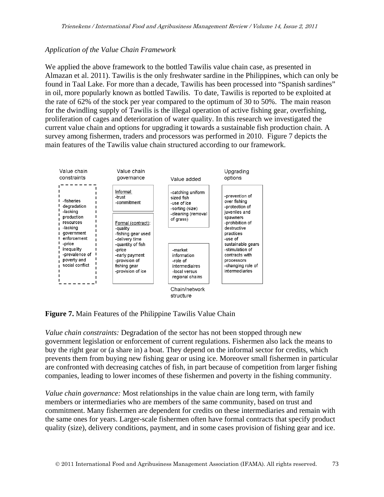### *Application of the Value Chain Framework*

We applied the above framework to the bottled Tawilis value chain case, as presented in Almazan et al. 2011). Tawilis is the only freshwater sardine in the Philippines, which can only be found in Taal Lake. For more than a decade, Tawilis has been processed into "Spanish sardines" in oil, more popularly known as bottled Tawilis. To date, Tawilis is reported to be exploited at the rate of 62% of the stock per year compared to the optimum of 30 to 50%. The main reason for the dwindling supply of Tawilis is the illegal operation of active fishing gear, overfishing, proliferation of cages and deterioration of water quality. In this research we investigated the current value chain and options for upgrading it towards a sustainable fish production chain. A survey among fishermen, traders and processors was performed in 2010. Figure 7 depicts the main features of the Tawilis value chain structured according to our framework.



**Figure 7.** Main Features of the Philippine Tawilis Value Chain

*Value chain constraints:* Degradation of the sector has not been stopped through new government legislation or enforcement of current regulations. Fishermen also lack the means to buy the right gear or (a share in) a boat. They depend on the informal sector for credits, which prevents them from buying new fishing gear or using ice. Moreover small fishermen in particular are confronted with decreasing catches of fish, in part because of competition from larger fishing companies, leading to lower incomes of these fishermen and poverty in the fishing community.

*Value chain governance:* Most relationships in the value chain are long term, with family members or intermediaries who are members of the same community, based on trust and commitment. Many fishermen are dependent for credits on these intermediaries and remain with the same ones for years. Larger-scale fishermen often have formal contracts that specify product quality (size), delivery conditions, payment, and in some cases provision of fishing gear and ice.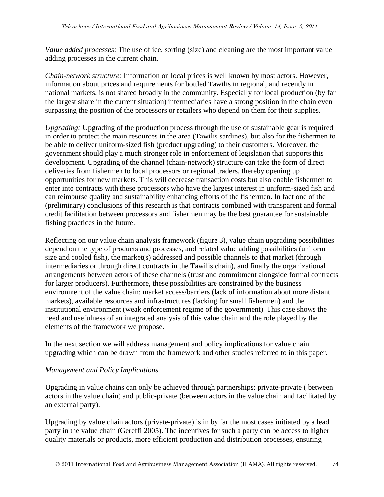*Value added processes:* The use of ice, sorting (size) and cleaning are the most important value adding processes in the current chain.

*Chain-network structure:* Information on local prices is well known by most actors. However, information about prices and requirements for bottled Tawilis in regional, and recently in national markets, is not shared broadly in the community. Especially for local production (by far the largest share in the current situation) intermediaries have a strong position in the chain even surpassing the position of the processors or retailers who depend on them for their supplies.

*Upgrading:* Upgrading of the production process through the use of sustainable gear is required in order to protect the main resources in the area (Tawilis sardines), but also for the fishermen to be able to deliver uniform-sized fish (product upgrading) to their customers. Moreover, the government should play a much stronger role in enforcement of legislation that supports this development. Upgrading of the channel (chain-network) structure can take the form of direct deliveries from fishermen to local processors or regional traders, thereby opening up opportunities for new markets. This will decrease transaction costs but also enable fishermen to enter into contracts with these processors who have the largest interest in uniform-sized fish and can reimburse quality and sustainability enhancing efforts of the fishermen. In fact one of the (preliminary) conclusions of this research is that contracts combined with transparent and formal credit facilitation between processors and fishermen may be the best guarantee for sustainable fishing practices in the future.

Reflecting on our value chain analysis framework (figure 3), value chain upgrading possibilities depend on the type of products and processes, and related value adding possibilities (uniform size and cooled fish), the market(s) addressed and possible channels to that market (through intermediaries or through direct contracts in the Tawilis chain), and finally the organizational arrangements between actors of these channels (trust and commitment alongside formal contracts for larger producers). Furthermore, these possibilities are constrained by the business environment of the value chain: market access/barriers (lack of information about more distant markets), available resources and infrastructures (lacking for small fishermen) and the institutional environment (weak enforcement regime of the government). This case shows the need and usefulness of an integrated analysis of this value chain and the role played by the elements of the framework we propose.

In the next section we will address management and policy implications for value chain upgrading which can be drawn from the framework and other studies referred to in this paper.

### *Management and Policy Implications*

Upgrading in value chains can only be achieved through partnerships: private-private ( between actors in the value chain) and public-private (between actors in the value chain and facilitated by an external party).

Upgrading by value chain actors (private-private) is in by far the most cases initiated by a lead party in the value chain (Gereffi 2005). The incentives for such a party can be access to higher quality materials or products, more efficient production and distribution processes, ensuring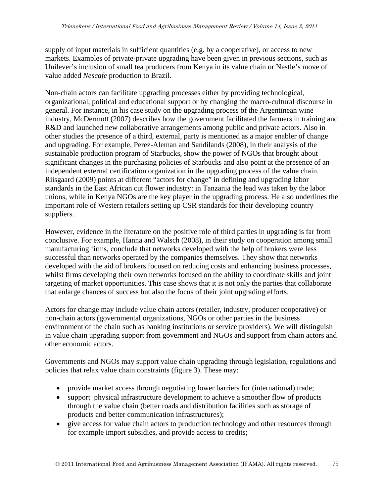supply of input materials in sufficient quantities (e.g. by a cooperative), or access to new markets. Examples of private-private upgrading have been given in previous sections, such as Unilever's inclusion of small tea producers from Kenya in its value chain or Nestle's move of value added *Nescafe* production to Brazil.

Non-chain actors can facilitate upgrading processes either by providing technological, organizational, political and educational support or by changing the macro-cultural discourse in general. For instance, in his case study on the upgrading process of the Argentinean wine industry, McDermott (2007) describes how the government facilitated the farmers in training and R&D and launched new collaborative arrangements among public and private actors. Also in other studies the presence of a third, external, party is mentioned as a major enabler of change and upgrading. For example, Perez-Aleman and Sandilands (2008), in their analysis of the sustainable production program of Starbucks, show the power of NGOs that brought about significant changes in the purchasing policies of Starbucks and also point at the presence of an independent external certification organization in the upgrading process of the value chain. Riisgaard (2009) points at different "actors for change" in defining and upgrading labor standards in the East African cut flower industry: in Tanzania the lead was taken by the labor unions, while in Kenya NGOs are the key player in the upgrading process. He also underlines the important role of Western retailers setting up CSR standards for their developing country suppliers.

However, evidence in the literature on the positive role of third parties in upgrading is far from conclusive. For example, Hanna and Walsch (2008), in their study on cooperation among small manufacturing firms, conclude that networks developed with the help of brokers were less successful than networks operated by the companies themselves. They show that networks developed with the aid of brokers focused on reducing costs and enhancing business processes, whilst firms developing their own networks focused on the ability to coordinate skills and joint targeting of market opportunities. This case shows that it is not only the parties that collaborate that enlarge chances of success but also the focus of their joint upgrading efforts.

Actors for change may include value chain actors (retailer, industry, producer cooperative) or non-chain actors (governmental organizations, NGOs or other parties in the business environment of the chain such as banking institutions or service providers). We will distinguish in value chain upgrading support from government and NGOs and support from chain actors and other economic actors.

Governments and NGOs may support value chain upgrading through legislation, regulations and policies that relax value chain constraints (figure 3). These may:

- provide market access through negotiating lower barriers for (international) trade;
- support physical infrastructure development to achieve a smoother flow of products through the value chain (better roads and distribution facilities such as storage of products and better communication infrastructures);
- give access for value chain actors to production technology and other resources through for example import subsidies, and provide access to credits;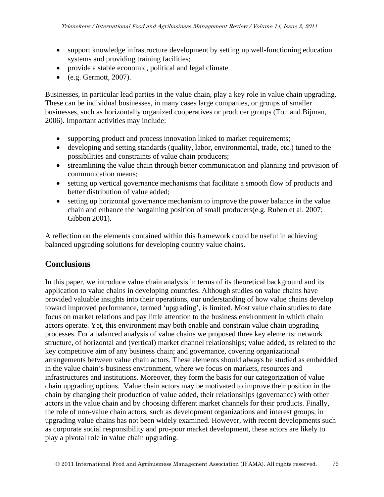- support knowledge infrastructure development by setting up well-functioning education systems and providing training facilities;
- provide a stable economic, political and legal climate.
- $\bullet$  (e.g. Germott, 2007).

Businesses, in particular lead parties in the value chain, play a key role in value chain upgrading. These can be individual businesses, in many cases large companies, or groups of smaller businesses, such as horizontally organized cooperatives or producer groups (Ton and Bijman, 2006). Important activities may include:

- supporting product and process innovation linked to market requirements;
- developing and setting standards (quality, labor, environmental, trade, etc.) tuned to the possibilities and constraints of value chain producers;
- streamlining the value chain through better communication and planning and provision of communication means;
- setting up vertical governance mechanisms that facilitate a smooth flow of products and better distribution of value added;
- setting up horizontal governance mechanism to improve the power balance in the value chain and enhance the bargaining position of small producers(e.g. Ruben et al. 2007; Gibbon 2001).

A reflection on the elements contained within this framework could be useful in achieving balanced upgrading solutions for developing country value chains.

# **Conclusions**

In this paper, we introduce value chain analysis in terms of its theoretical background and its application to value chains in developing countries. Although studies on value chains have provided valuable insights into their operations, our understanding of how value chains develop toward improved performance, termed 'upgrading', is limited. Most value chain studies to date focus on market relations and pay little attention to the business environment in which chain actors operate. Yet, this environment may both enable and constrain value chain upgrading processes. For a balanced analysis of value chains we proposed three key elements: network structure, of horizontal and (vertical) market channel relationships; value added, as related to the key competitive aim of any business chain; and governance, covering organizational arrangements between value chain actors. These elements should always be studied as embedded in the value chain's business environment, where we focus on markets, resources and infrastructures and institutions. Moreover, they form the basis for our categorization of value chain upgrading options. Value chain actors may be motivated to improve their position in the chain by changing their production of value added, their relationships (governance) with other actors in the value chain and by choosing different market channels for their products. Finally, the role of non-value chain actors, such as development organizations and interest groups, in upgrading value chains has not been widely examined. However, with recent developments such as corporate social responsibility and pro-poor market development, these actors are likely to play a pivotal role in value chain upgrading.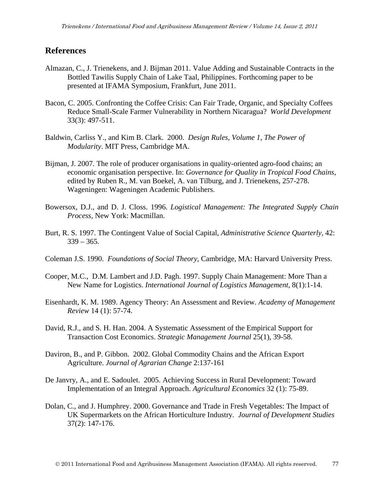### **References**

- Almazan, C., J. Trienekens, and J. Bijman 2011. Value Adding and Sustainable Contracts in the Bottled Tawilis Supply Chain of Lake Taal, Philippines. Forthcoming paper to be presented at IFAMA Symposium, Frankfurt, June 2011.
- Bacon, C. 2005. Confronting the Coffee Crisis: Can Fair Trade, Organic, and Specialty Coffees Reduce Small-Scale Farmer Vulnerability in Northern Nicaragua? *World Development*  33(3): 497-511.
- Baldwin, Carliss Y., and Kim B. Clark. 2000. *Design Rules, Volume 1, The Power of Modularity*. MIT Press, Cambridge MA.
- Bijman, J. 2007. The role of producer organisations in quality-oriented agro-food chains; an economic organisation perspective. In: *Governance for Quality in Tropical Food Chains*, edited by Ruben R., M. van Boekel, A. van Tilburg, and J. Trienekens, 257-278. Wageningen: Wageningen Academic Publishers.
- Bowersox, D.J., and D. J. Closs. 1996. *Logistical Management: The Integrated Supply Chain Process,* New York: Macmillan.
- Burt, R. S. 1997. The Contingent Value of Social Capital, *Administrative Science Quarterly,* 42:  $339 - 365$ .
- Coleman J.S. 1990. *Foundations of Social Theory,* Cambridge, MA: Harvard University Press.
- Cooper, M.C., D.M. Lambert and J.D. Pagh. 1997. Supply Chain Management: More Than a New Name for Logistics. *International Journal of Logistics Management*, 8(1):1-14.
- Eisenhardt, K. M. 1989. Agency Theory: An Assessment and Review. *Academy of Management Review* 14 (1): 57-74.
- David, R.J., and S. H. Han. 2004. A Systematic Assessment of the Empirical Support for Transaction Cost Economics. *Strategic Management Journal* 25(1), 39-58.
- Daviron, B., and P. Gibbon. 2002. Global Commodity Chains and the African Export Agriculture. *Journal of Agrarian Change* 2:137-161
- De Janvry, A., and E. Sadoulet. 2005. Achieving Success in Rural Development: Toward Implementation of an Integral Approach. *Agricultural Economics* 32 (1): 75-89.
- Dolan, C., and J. Humphrey. 2000. Governance and Trade in Fresh Vegetables: The Impact of UK Supermarkets on the African Horticulture Industry*. Journal of Development Studies* 37(2): 147-176.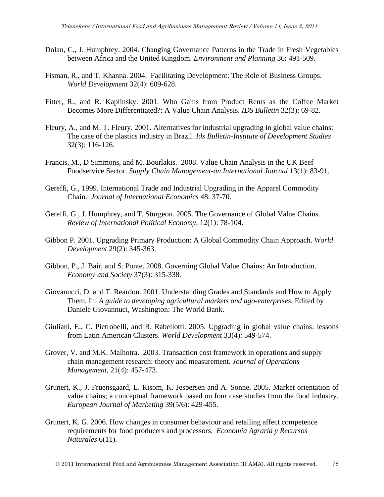- Dolan, C., J. Humphrey. 2004. Changing Governance Patterns in the Trade in Fresh Vegetables between Africa and the United Kingdom. *Environment and Planning* 36: 491-509.
- Fisman, R., and T. Khanna. 2004. Facilitating Development: The Role of Business Groups. *World Development* 32(4): 609-628.
- Fitter, R., and R. Kaplinsky. 2001. Who Gains from Product Rents as the Coffee Market Becomes More Differentiated?: A Value Chain Analysis. *IDS Bulletin* 32(3): 69-82.
- Fleury, A., and M. T. Fleury. 2001. Alternatives for industrial upgrading in global value chains: The case of the plastics industry in Brazil. *Ids Bulletin-Institute of Development Studies* 32(3): 116-126.
- Francis, M., D Simmons, and M. Bourlakis. 2008. Value Chain Analysis in the UK Beef Foodservice Sector. *Supply Chain Management-an International Journal* 13(1): 83-91.
- Gereffi, G., 1999. International Trade and Industrial Upgrading in the Apparel Commodity Chain. *Journal of International Economics* 48: 37-70.
- Gereffi, G., J. Humphrey, and T. Sturgeon. 2005. The Governance of Global Value Chains. *Review of International Political Economy*, 12(1): 78-104.
- Gibbon P. 2001. Upgrading Primary Production: A Global Commodity Chain Approach. *World Development* 29(2): 345-363.
- Gibbon, P., J. Bair, and S. Ponte. 2008. Governing Global Value Chains: An Introduction. *Economy and Society* 37(3): 315-338.
- Giovanucci, D. and T. Reardon. 2001. Understanding Grades and Standards and How to Apply Them. In: *A guide to developing agricultural markets and ago-enterprises*, Edited by Daniele Giovannuci, Washington: The World Bank.
- Giuliani, E., C. Pietrobelli, and R. Rabellotti. 2005. Upgrading in global value chains: lessons from Latin American Clusters. *World Development* 33(4): 549-574.
- Grover, V. and M.K. Malhotra. 2003. Transaction cost framework in operations and supply chain management research: theory and measurement. *Journal of Operations Management,* 21(4): 457-473.
- Grunert, K., J. Fruensgaard, L. Risom, K. Jespersen and A. Sonne. 2005. Market orientation of value chains; a conceptual framework based on four case studies from the food industry. *European Journal of Marketing* 39(5/6): 429-455.
- Grunert, K. G. 2006. How changes in consumer behaviour and retailing affect competence requirements for food producers and processors. *Economia Agraria y Recursos Naturales* 6(11).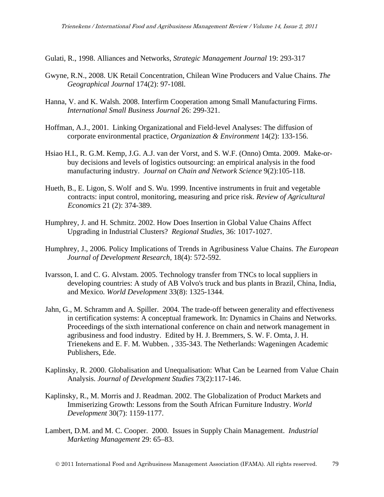Gulati, R., 1998. Alliances and Networks, *Strategic Management Journal* 19: 293-317

- Gwyne, R.N., 2008. UK Retail Concentration, Chilean Wine Producers and Value Chains. *The Geographical Journal* 174(2): 97-108l.
- Hanna, V. and K. Walsh. 2008. Interfirm Cooperation among Small Manufacturing Firms. *International Small Business Journal* 26: 299-321.
- Hoffman, A.J., 2001. Linking Organizational and Field-level Analyses: The diffusion of corporate environmental practice, *Organization & Environment* 14(2): 133-156.
- Hsiao H.I., R. G.M. Kemp, J.G. A.J. van der Vorst, and S. W.F. (Onno) Omta. 2009. Make-orbuy decisions and levels of logistics outsourcing: an empirical analysis in the food manufacturing industry. *Journal on Chain and Network Science* 9(2):105-118.
- Hueth, B., E. Ligon, S. Wolf and S. Wu. 1999. Incentive instruments in fruit and vegetable contracts: input control, monitoring, measuring and price risk. *Review of Agricultural Economics* 21 (2): 374-389.
- Humphrey, J. and H. Schmitz. 2002. How Does Insertion in Global Value Chains Affect Upgrading in Industrial Clusters? *Regional Studies,* 36: 1017-1027.
- Humphrey, J., 2006. Policy Implications of Trends in Agribusiness Value Chains. *The European Journal of Development Research*, 18(4): 572-592.
- Ivarsson, I. and C. G. Alvstam. 2005. Technology transfer from TNCs to local suppliers in developing countries: A study of AB Volvo's truck and bus plants in Brazil, China, India, and Mexico*. World Development* 33(8): 1325-1344.
- Jahn, G., M. Schramm and A. Spiller. 2004. The trade-off between generality and effectiveness in certification systems: A conceptual framework. In: Dynamics in Chains and Networks. Proceedings of the sixth international conference on chain and network management in agribusiness and food industry. Edited by H. J. Bremmers, S. W. F. Omta, J. H. Trienekens and E. F. M. Wubben. , 335-343. The Netherlands: Wageningen Academic Publishers, Ede.
- Kaplinsky, R. 2000. Globalisation and Unequalisation: What Can be Learned from Value Chain Analysis. *Journal of Development Studies* 73(2):117-146.
- Kaplinsky, R., M. Morris and J. Readman. 2002. The Globalization of Product Markets and Immiserizing Growth: Lessons from the South African Furniture Industry. *World Development* 30(7): 1159-1177.
- Lambert, D.M. and M. C. Cooper. 2000. Issues in Supply Chain Management. *Industrial Marketing Management* 29: 65–83.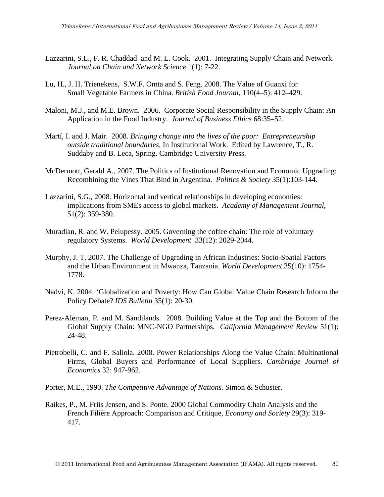- Lazzarini, S.L., F. R. Chaddad and M. L. Cook. 2001. Integrating Supply Chain and Network. *Journal on Chain and Network Science* 1(1): 7-22.
- Lu, H., J. H. Trienekens, S.W.F. Omta and S. Feng. 2008. The Value of Guanxi for Small Vegetable Farmers in China. *British Food Journal*, 110(4–5): 412–429.
- Maloni, M.J., and M.E. Brown. 2006. Corporate Social Responsibility in the Supply Chain: An Application in the Food Industry. *Journal of Business Ethics* 68:35–52.
- Martí, I. and J. Mair. 2008. *Bringing change into the lives of the poor: Entrepreneurship outside traditional boundaries,* In Institutional Work. Edited by Lawrence, T., R. Suddaby and B. Leca, Spring. Cambridge University Press.
- McDermott, Gerald A., 2007. The Politics of Institutional Renovation and Economic Upgrading: Recombining the Vines That Bind in Argentina. *Politics & Society* 35(1):103-144.
- Lazzarini, S.G., 2008. Horizontal and vertical relationships in developing economies: implications from SMEs access to global markets. *Academy of Management Journal*, 51(2): 359-380.
- Muradian, R. and W. Pelupessy. 2005. Governing the coffee chain: The role of voluntary regulatory Systems. *World Development* 33(12): 2029-2044.
- Murphy, J. T. 2007. The Challenge of Upgrading in African Industries: Socio-Spatial Factors and the Urban Environment in Mwanza, Tanzania. *World Development* 35(10): 1754- 1778.
- Nadvi, K. 2004. 'Globalization and Poverty: How Can Global Value Chain Research Inform the Policy Debate? *IDS Bulletin* 35(1): 20-30.
- Perez-Aleman, P. and M. Sandilands. 2008. Building Value at the Top and the Bottom of the Global Supply Chain: MNC-NGO Partnerships. *California Management Review* 51(1): 24-48.
- Pietrobelli, C. and F. Saliola. 2008. Power Relationships Along the Value Chain: Multinational Firms, Global Buyers and Performance of Local Suppliers. *Cambridge Journal of Economics* 32: 947-962.
- Porter, M.E., 1990. *The Competitive Advantage of Nations.* Simon & Schuster.
- Raikes, P., M. Friis Jensen, and S. Ponte. 2000 Global Commodity Chain Analysis and the French Filière Approach: Comparison and Critique, *Economy and Society* 29(3): 319- 417.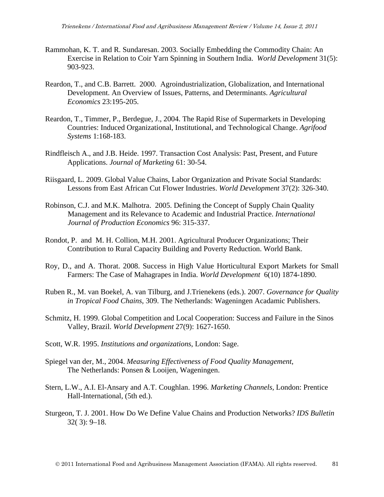- Rammohan, K. T. and R. Sundaresan. 2003. Socially Embedding the Commodity Chain: An Exercise in Relation to Coir Yarn Spinning in Southern India. *World Development* 31(5): 903-923.
- Reardon, T., and C.B. Barrett. 2000. Agroindustrialization, Globalization, and International Development. An Overview of Issues, Patterns, and Determinants. *Agricultural Economics* 23:195-205.
- Reardon, T., Timmer, P., Berdegue, J., 2004. The Rapid Rise of Supermarkets in Developing Countries: Induced Organizational, Institutional, and Technological Change. *Agrifood Systems* 1:168-183.
- Rindfleisch A., and J.B. Heide. 1997. Transaction Cost Analysis: Past, Present, and Future Applications. *Journal of Marketing* 61: 30-54.
- Riisgaard, L. 2009. Global Value Chains, Labor Organization and Private Social Standards: Lessons from East African Cut Flower Industries. *World Development* 37(2): 326-340.
- Robinson, C.J. and M.K. Malhotra. 2005. Defining the Concept of Supply Chain Quality Management and its Relevance to Academic and Industrial Practice. *International Journal of Production Economics* 96: 315-337.
- Rondot, P. and M. H. Collion, M.H. 2001. Agricultural Producer Organizations; Their Contribution to Rural Capacity Building and Poverty Reduction. World Bank.
- Roy, D., and A. Thorat. 2008. Success in High Value Horticultural Export Markets for Small Farmers: The Case of Mahagrapes in India. *World Development* 6(10) 1874-1890.
- Ruben R., M. van Boekel, A. van Tilburg, and J.Trienekens (eds.). 2007. *Governance for Quality in Tropical Food Chains*, 309. The Netherlands: Wageningen Acadamic Publishers.
- Schmitz, H. 1999. Global Competition and Local Cooperation: Success and Failure in the Sinos Valley, Brazil. *World Development* 27(9): 1627-1650.
- Scott, W.R. 1995. *Institutions and organizations*, London: Sage.
- Spiegel van der, M., 2004. *Measuring Effectiveness of Food Quality Management*, The Netherlands: Ponsen & Looijen, Wageningen.
- Stern, L.W., A.I. El-Ansary and A.T. Coughlan. 1996. *Marketing Channels,* London: Prentice Hall-International, (5th ed.).
- Sturgeon, T. J. 2001. How Do We Define Value Chains and Production Networks? *IDS Bulletin*  32( 3): 9–18.